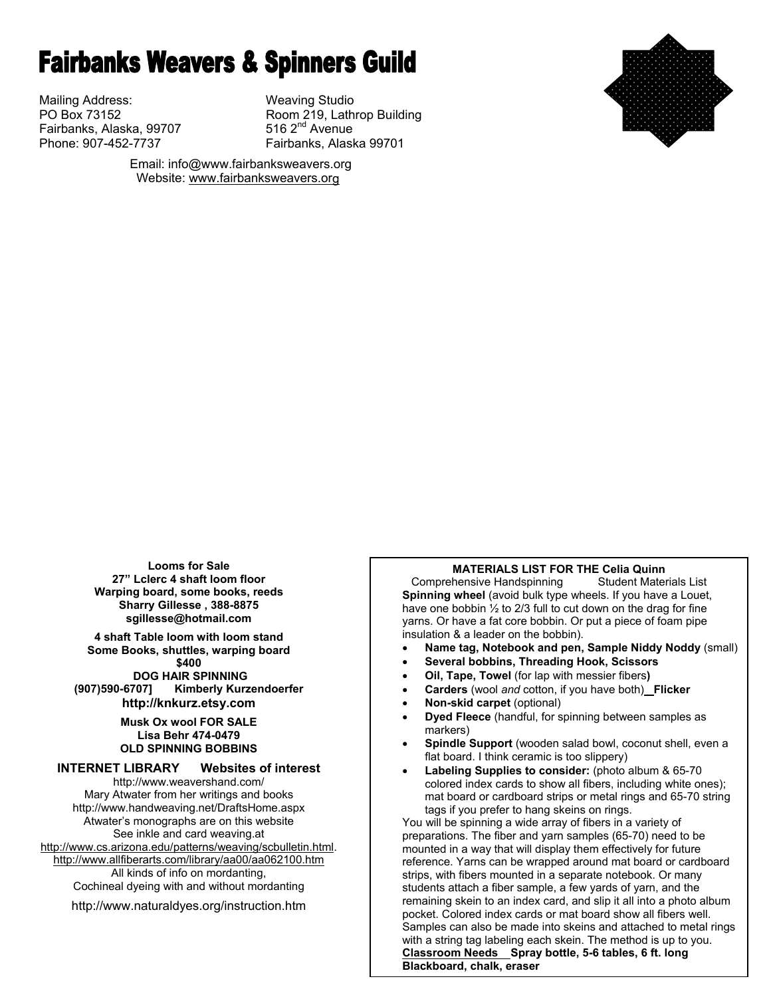# **Fairbanks Weavers & Spinners Guild**

Mailing Address: Weaving Studio Fairbanks, Alaska, 99707

PO Box 73152 **Room 219, Lathrop Building**<br>
Fairbanks, Alaska, 99707 **Room 219, 2<sup>nd</sup> Avenue** Phone: 907-452-7737 Fairbanks, Alaska 99701



 Email: info@www.fairbanksweavers.org Website: www.fairbanksweavers.org

**Looms for Sale 27" Lclerc 4 shaft loom floor Warping board, some books, reeds Sharry Gillesse , 388-8875 sgillesse@hotmail.com** 

**4 shaft Table loom with loom stand Some Books, shuttles, warping board \$400** 

**DOG HAIR SPINNING**<br>Kimberly Kurz **Kimberly (907)590-6707] Kimberly Kurzendoerfer http://knkurz.etsy.com** 

> **Musk Ox wool FOR SALE Lisa Behr 474-0479 OLD SPINNING BOBBINS**

#### **INTERNET LIBRARY Websites of interest**

http://www.weavershand.com/ Mary Atwater from her writings and books http://www.handweaving.net/DraftsHome.aspx Atwater's monographs are on this website See inkle and card weaving.at http://www.cs.arizona.edu/patterns/weaving/scbulletin.html. http://www.allfiberarts.com/library/aa00/aa062100.htm All kinds of info on mordanting, Cochineal dyeing with and without mordanting

http://www.naturaldyes.org/instruction.htm

#### **MATERIALS LIST FOR THE Celia Quinn**

Comprehensive Handspinning Student Materials List **Spinning wheel** (avoid bulk type wheels. If you have a Louet, have one bobbin ½ to 2/3 full to cut down on the drag for fine yarns. Or have a fat core bobbin. Or put a piece of foam pipe insulation & a leader on the bobbin).

- **Name tag, Notebook and pen, Sample Niddy Noddy** (small)
- **Several bobbins, Threading Hook, Scissors**
- **Oil, Tape, Towel** (for lap with messier fibers**)**
- **Carders** (wool *and* cotton, if you have both) **Flicker**
- **Non-skid carpet** (optional)
- **Dyed Fleece** (handful, for spinning between samples as markers)
- **Spindle Support** (wooden salad bowl, coconut shell, even a flat board. I think ceramic is too slippery)
- **Labeling Supplies to consider:** (photo album & 65-70 colored index cards to show all fibers, including white ones); mat board or cardboard strips or metal rings and 65-70 string tags if you prefer to hang skeins on rings.

You will be spinning a wide array of fibers in a variety of preparations. The fiber and yarn samples (65-70) need to be mounted in a way that will display them effectively for future reference. Yarns can be wrapped around mat board or cardboard strips, with fibers mounted in a separate notebook. Or many students attach a fiber sample, a few yards of yarn, and the remaining skein to an index card, and slip it all into a photo album pocket. Colored index cards or mat board show all fibers well. Samples can also be made into skeins and attached to metal rings with a string tag labeling each skein. The method is up to you. **Classroom Needs Spray bottle, 5-6 tables, 6 ft. long Blackboard, chalk, eraser**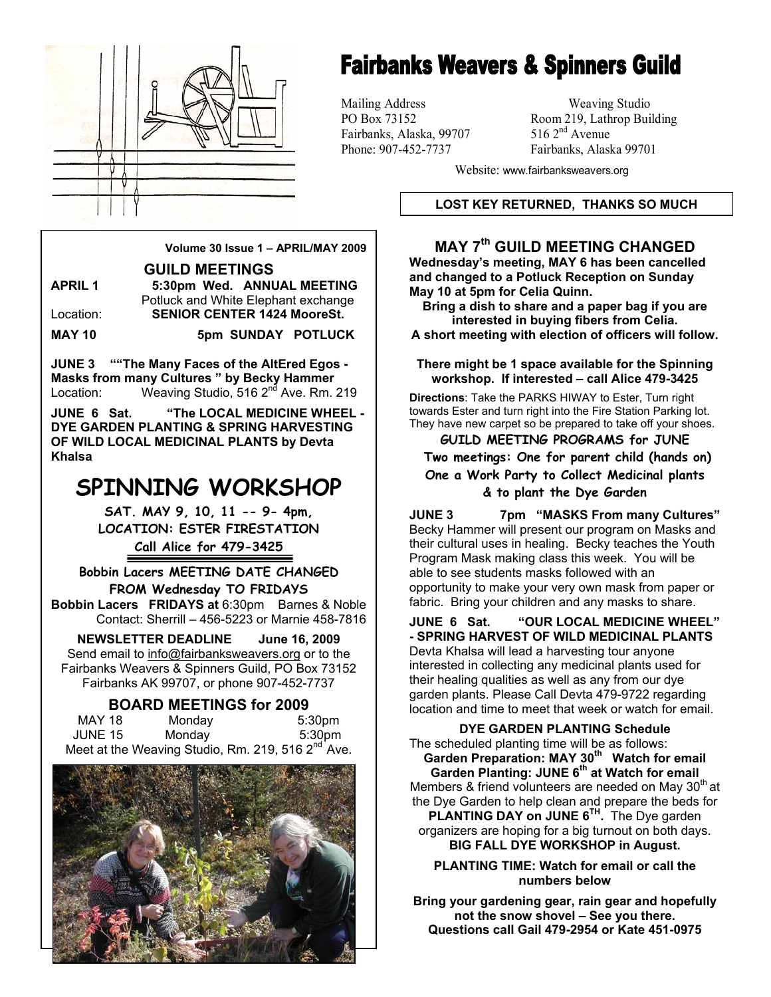

# **Fairbanks Weavers & Spinners Guild**

Mailing Address Weaving Studio Fairbanks, Alaska, 99707

PO Box 73152 Room 219, Lathrop Building<br>Fairbanks. Alaska. 99707 516 2<sup>nd</sup> Avenue Phone: 907-452-7737 Fairbanks, Alaska 99701

Website: www.fairbanksweavers.org

#### **LOST KEY RETURNED, THANKS SO MUCH**

## **MAY 7th GUILD MEETING CHANGED**

**Wednesday's meeting, MAY 6 has been cancelled and changed to a Potluck Reception on Sunday May 10 at 5pm for Celia Quinn.** 

**Bring a dish to share and a paper bag if you are interested in buying fibers from Celia.** 

**A short meeting with election of officers will follow.** 

**There might be 1 space available for the Spinning workshop. If interested – call Alice 479-3425** 

**Directions**: Take the PARKS HIWAY to Ester, Turn right towards Ester and turn right into the Fire Station Parking lot. They have new carpet so be prepared to take off your shoes.

**GUILD MEETING PROGRAMS for JUNE Two meetings: One for parent child (hands on) One a Work Party to Collect Medicinal plants & to plant the Dye Garden** 

**JUNE 3 7pm "MASKS From many Cultures"** Becky Hammer will present our program on Masks and their cultural uses in healing. Becky teaches the Youth Program Mask making class this week. You will be able to see students masks followed with an opportunity to make your very own mask from paper or fabric. Bring your children and any masks to share.

**JUNE 6 Sat. "OUR LOCAL MEDICINE WHEEL" - SPRING HARVEST OF WILD MEDICINAL PLANTS**  Devta Khalsa will lead a harvesting tour anyone interested in collecting any medicinal plants used for their healing qualities as well as any from our dye garden plants. Please Call Devta 479-9722 regarding location and time to meet that week or watch for email.

**DYE GARDEN PLANTING Schedule**  The scheduled planting time will be as follows: **Garden Preparation: MAY 30th Watch for email Garden Planting: JUNE 6th at Watch for email**  Members & friend volunteers are needed on May  $30<sup>th</sup>$  at the Dye Garden to help clean and prepare the beds for **PLANTING DAY on JUNE 6TH.** The Dye garden organizers are hoping for a big turnout on both days. **BIG FALL DYE WORKSHOP in August.** 

**PLANTING TIME: Watch for email or call the numbers below** 

**Bring your gardening gear, rain gear and hopefully not the snow shovel – See you there. Questions call Gail 479-2954 or Kate 451-0975** 

**Volume 30 Issue 1 – APRIL/MAY 2009** 

**GUILD MEETINGS** 

**APRIL 1 5:30pm Wed. ANNUAL MEETING**  Potluck and White Elephant exchange Location: **SENIOR CENTER 1424 MooreSt. MAY 10 5pm SUNDAY POTLUCK** 

**JUNE 3 ""The Many Faces of the AltEred Egos - Masks from many Cultures " by Becky Hammer**  Location: Weaving Studio, 516 2<sup>nd</sup> Ave. Rm. 219

**JUNE 6 Sat. "The LOCAL MEDICINE WHEEL - DYE GARDEN PLANTING & SPRING HARVESTING OF WILD LOCAL MEDICINAL PLANTS by Devta Khalsa** 

# **SPINNING WORKSHOP**

**SAT. MAY 9, 10, 11 -- 9- 4pm, LOCATION: ESTER FIRESTATION Call Alice for 479-3425** 

**Bobbin Lacers MEETING DATE CHANGED FROM Wednesday TO FRIDAYS Bobbin Lacers FRIDAYS at** 6:30pm Barnes & Noble

Contact: Sherrill – 456-5223 or Marnie 458-7816

**NEWSLETTER DEADLINE June 16, 2009**  Send email to info@fairbanksweavers.org or to the Fairbanks Weavers & Spinners Guild, PO Box 73152 Fairbanks AK 99707, or phone 907-452-7737

#### **BOARD MEETINGS for 2009**

| MAY 18  | Monday                                                        | 5:30 <sub>pm</sub> |
|---------|---------------------------------------------------------------|--------------------|
| JUNE 15 | Monday                                                        | 5:30pm             |
|         | Meet at the Weaving Studio, Rm. 219, 516 2 <sup>nd</sup> Ave. |                    |

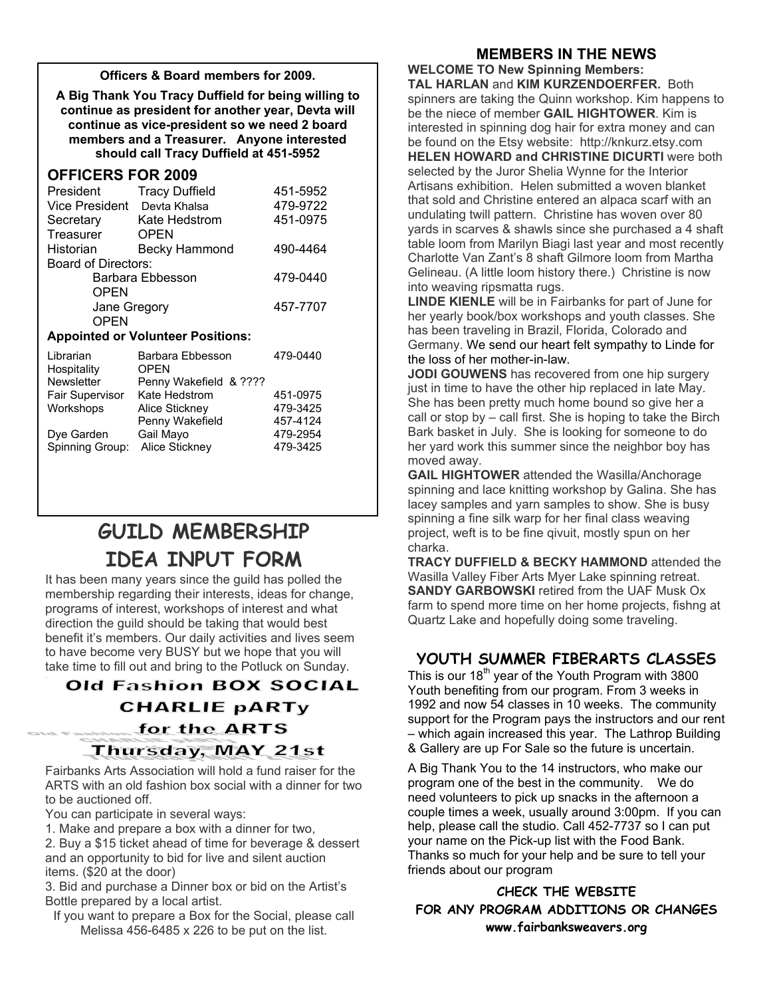#### **Officers & Board members for 2009.**

**A Big Thank You Tracy Duffield for being willing to continue as president for another year, Devta will continue as vice-president so we need 2 board members and a Treasurer. Anyone interested should call Tracy Duffield at 451-5952** 

### **OFFICERS FOR 2009**

| President             | <b>Tracy Duffield</b> | 451-5952 |
|-----------------------|-----------------------|----------|
| <b>Vice President</b> | Devta Khalsa          | 479-9722 |
| Secretary             | Kate Hedstrom         | 451-0975 |
| Treasurer             | OPEN                  |          |
| Historian             | <b>Becky Hammond</b>  | 490-4464 |
| Board of Directors:   |                       |          |
|                       | Barbara Ebbesson      | 479-0440 |
| <b>OPEN</b>           |                       |          |
| Jane Gregory          |                       | 457-7707 |
| OPFN                  |                       |          |

#### **Appointed or Volunteer Positions:**

| Barbara Ebbesson       | 479-0440 |
|------------------------|----------|
| <b>OPEN</b>            |          |
| Penny Wakefield & ???? |          |
| Kate Hedstrom          | 451-0975 |
| Alice Stickney         | 479-3425 |
| Penny Wakefield        | 457-4124 |
| Gail Mayo              | 479-2954 |
| Alice Stickney         | 479-3425 |
|                        |          |

# **GUILD MEMBERSHIP IDEA INPUT FORM**

It has been many years since the guild has polled the membership regarding their interests, ideas for change, programs of interest, workshops of interest and what direction the guild should be taking that would best benefit it's members. Our daily activities and lives seem to have become very BUSY but we hope that you will take time to fill out and bring to the Potluck on Sunday.

# **Old Fashion BOX SOCIAL CHARLIE pARTy** for the ARTS **Thursday, MAY 21st**

Fairbanks Arts Association will hold a fund raiser for the ARTS with an old fashion box social with a dinner for two to be auctioned off.

You can participate in several ways:

1. Make and prepare a box with a dinner for two,

2. Buy a \$15 ticket ahead of time for beverage & dessert and an opportunity to bid for live and silent auction items. (\$20 at the door)

3. Bid and purchase a Dinner box or bid on the Artist's Bottle prepared by a local artist.

If you want to prepare a Box for the Social, please call Melissa 456-6485 x 226 to be put on the list.

## **MEMBERS IN THE NEWS**

**WELCOME TO New Spinning Members: TAL HARLAN** and **KIM KURZENDOERFER.** Both spinners are taking the Quinn workshop. Kim happens to be the niece of member **GAIL HIGHTOWER**. Kim is interested in spinning dog hair for extra money and can be found on the Etsy website: http://knkurz.etsy.com **HELEN HOWARD and CHRISTINE DICURTI** were both selected by the Juror Shelia Wynne for the Interior Artisans exhibition. Helen submitted a woven blanket that sold and Christine entered an alpaca scarf with an undulating twill pattern. Christine has woven over 80 yards in scarves & shawls since she purchased a 4 shaft table loom from Marilyn Biagi last year and most recently Charlotte Van Zant's 8 shaft Gilmore loom from Martha Gelineau. (A little loom history there.) Christine is now into weaving ripsmatta rugs.

**LINDE KIENLE** will be in Fairbanks for part of June for her yearly book/box workshops and youth classes. She has been traveling in Brazil, Florida, Colorado and Germany. We send our heart felt sympathy to Linde for the loss of her mother-in-law.

**JODI GOUWENS** has recovered from one hip surgery just in time to have the other hip replaced in late May. She has been pretty much home bound so give her a call or stop by – call first. She is hoping to take the Birch Bark basket in July. She is looking for someone to do her yard work this summer since the neighbor boy has moved away.

**GAIL HIGHTOWER** attended the Wasilla/Anchorage spinning and lace knitting workshop by Galina. She has lacey samples and yarn samples to show. She is busy spinning a fine silk warp for her final class weaving project, weft is to be fine qivuit, mostly spun on her charka.

**TRACY DUFFIELD & BECKY HAMMOND** attended the Wasilla Valley Fiber Arts Myer Lake spinning retreat. **SANDY GARBOWSKI** retired from the UAF Musk Ox farm to spend more time on her home projects, fishng at Quartz Lake and hopefully doing some traveling.

## **YOUTH SUMMER FIBERARTS CLASSES**

This is our  $18<sup>th</sup>$  year of the Youth Program with 3800 Youth benefiting from our program. From 3 weeks in 1992 and now 54 classes in 10 weeks. The community support for the Program pays the instructors and our rent – which again increased this year. The Lathrop Building & Gallery are up For Sale so the future is uncertain.

A Big Thank You to the 14 instructors, who make our program one of the best in the community. We do need volunteers to pick up snacks in the afternoon a couple times a week, usually around 3:00pm. If you can help, please call the studio. Call 452-7737 so I can put your name on the Pick-up list with the Food Bank. Thanks so much for your help and be sure to tell your friends about our program

**CHECK THE WEBSITE FOR ANY PROGRAM ADDITIONS OR CHANGES www.fairbanksweavers.org**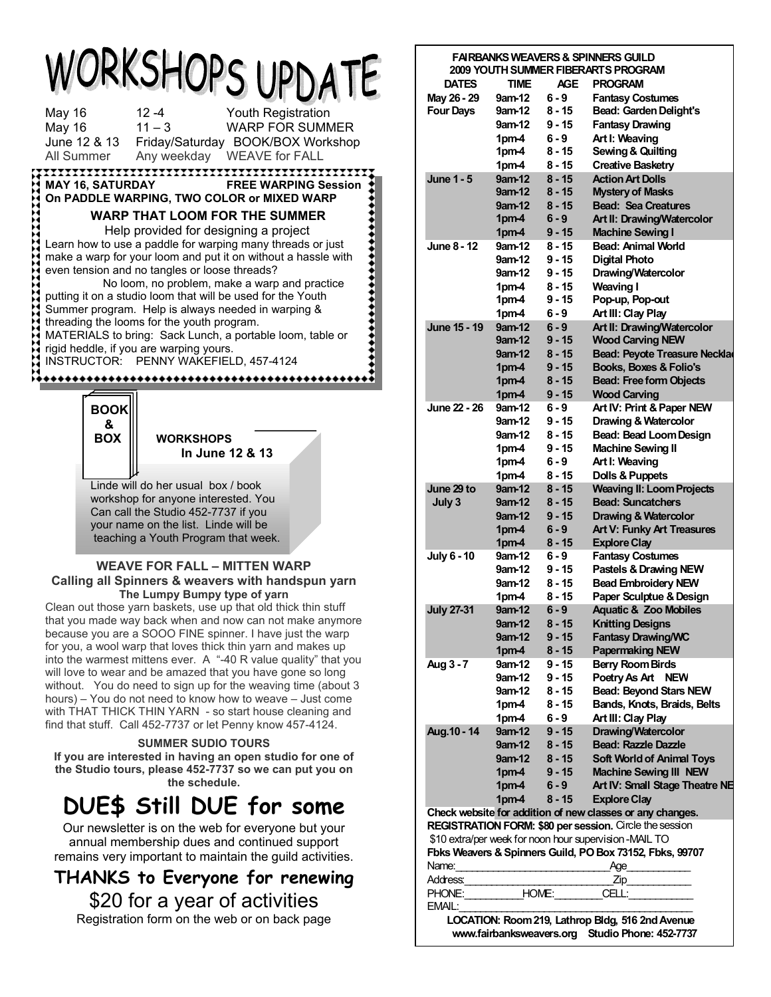|                                |                                |                                                                                                                                                                                                                                                                                                                                                                                                                                                                                                                                                                                                                                    |                    | WORKSHOPS UPDATE            |
|--------------------------------|--------------------------------|------------------------------------------------------------------------------------------------------------------------------------------------------------------------------------------------------------------------------------------------------------------------------------------------------------------------------------------------------------------------------------------------------------------------------------------------------------------------------------------------------------------------------------------------------------------------------------------------------------------------------------|--------------------|-----------------------------|
| <b>May 16</b><br><b>May 16</b> | All Summer                     | $12 - 4$<br>$11 - 3$<br>June 12 & 13 Friday/Saturday BOOK/BOX Workshop<br>Any weekday   WEAVE for FALL                                                                                                                                                                                                                                                                                                                                                                                                                                                                                                                             | Youth Registration | <b>WARP FOR SUMMER</b>      |
|                                | <b>MAY 16, SATURDAY</b>        | On PADDLE WARPING, TWO COLOR or MIXED WARP                                                                                                                                                                                                                                                                                                                                                                                                                                                                                                                                                                                         |                    | <b>FREE WARPING Session</b> |
|                                |                                | <b>WARP THAT LOOM FOR THE SUMMER</b><br>Help provided for designing a project<br>Learn how to use a paddle for warping many threads or just<br>make a warp for your loom and put it on without a hassle with<br>even tension and no tangles or loose threads?<br>No loom, no problem, make a warp and practice<br>putting it on a studio loom that will be used for the Youth<br>Summer program. Help is always needed in warping &<br>threading the looms for the youth program.<br>MATERIALS to bring: Sack Lunch, a portable loom, table or<br>rigid heddle, if you are warping yours.<br>INSTRUCTOR: PENNY WAKEFIELD, 457-4124 |                    |                             |
|                                |                                |                                                                                                                                                                                                                                                                                                                                                                                                                                                                                                                                                                                                                                    |                    |                             |
|                                | <b>BOOK</b><br>&<br><b>BOX</b> | <b>WORKSHOPS</b>                                                                                                                                                                                                                                                                                                                                                                                                                                                                                                                                                                                                                   | In June 12 & 13    |                             |
|                                |                                | Linde will do her usual box / book<br>workshop for anyone interested. You<br>Can call the Studio 452-7737 if you<br>your name on the list. Linde will be<br>teaching a Youth Program that week.                                                                                                                                                                                                                                                                                                                                                                                                                                    |                    |                             |

#### **WEAVE FOR FALL – MITTEN WARP Calling all Spinners & weavers with handspun yarn The Lumpy Bumpy type of yarn**

Clean out those yarn baskets, use up that old thick thin stuff that you made way back when and now can not make anymore because you are a SOOO FINE spinner. I have just the warp for you, a wool warp that loves thick thin yarn and makes up into the warmest mittens ever. A "-40 R value quality" that you will love to wear and be amazed that you have gone so long without. You do need to sign up for the weaving time (about 3 hours) – You do not need to know how to weave – Just come with THAT THICK THIN YARN - so start house cleaning and find that stuff. Call 452-7737 or let Penny know 457-4124.

#### **SUMMER SUDIO TOURS**

**If you are interested in having an open studio for one of the Studio tours, please 452-7737 so we can put you on the schedule.** 

# **DUE\$ Still DUE for some**

Our newsletter is on the web for everyone but your annual membership dues and continued support remains very important to maintain the guild activities.

**THANKS to Everyone for renewing**  \$20 for a year of activities Registration form on the web or on back page

|                     |                  |          | <b>FAIRBANKS WEAVERS &amp; SPINNERS GUILD</b>             |
|---------------------|------------------|----------|-----------------------------------------------------------|
|                     |                  |          | 2009 YOUTH SUMMER FIBERARTS PROGRAM                       |
| <b>DATES</b>        | <b>TIME</b>      | AGE.     | <b>PROGRAM</b>                                            |
| May 26 - 29         | 9am-12           | 6 - 9    | <b>Fantasy Costumes</b>                                   |
| <b>Four Days</b>    | 9am-12           | 8 - 15   | <b>Bead: Garden Delight's</b>                             |
|                     | $9am-12$         | $9 - 15$ | <b>Fantasy Drawing</b>                                    |
|                     | 1pm-4            | $6 - 9$  | Art I: Weaving                                            |
|                     | 1pm-4            | 8 - 15   | <b>Sewing &amp; Quilting</b>                              |
|                     | 1pm-4            | $8 - 15$ | <b>Creative Basketry</b>                                  |
| <b>June 1 - 5</b>   | 9am-12           | $8 - 15$ | <b>Action Art Dolls</b>                                   |
|                     | $9am-12$         | $8 - 15$ | <b>Mystery of Masks</b>                                   |
|                     | $9am-12$         | $8 - 15$ | <b>Bead: Sea Creatures</b>                                |
|                     | 1 <sub>pm4</sub> | $6 - 9$  | <b>Art II: Drawing/Watercolor</b>                         |
|                     | 1 <sub>pm4</sub> | $9 - 15$ | <b>Machine Sewing I</b>                                   |
| June 8 - 12         | 9am-12           | 8 - 15   | Bead: Animal World                                        |
|                     | 9am-12           | $9 - 15$ | <b>Digital Photo</b>                                      |
|                     | 9am-12           | $9 - 15$ | Drawing/Watercolor                                        |
|                     | 1pm-4            | $8 - 15$ | <b>Weaving I</b>                                          |
|                     | 1pm-4            | $9 - 15$ | Pop-up, Pop-out                                           |
|                     | 1pm-4            | $6 - 9$  | Art III: Clay Play                                        |
| <b>June 15 - 19</b> | 9am-12           | $6 - 9$  | Art II: Drawing/Watercolor                                |
|                     | $9am-12$         | $9 - 15$ | <b>Wood Carving NEW</b>                                   |
|                     | $9am-12$         | $8 - 15$ | <b>Bead: Peyote Treasure Necklad</b>                      |
|                     | 1 <sub>pm4</sub> | $9 - 15$ | Books, Boxes & Folio's                                    |
|                     | 1 <sub>pm4</sub> | $8 - 15$ | <b>Bead: Free form Objects</b>                            |
|                     | 1 <sub>pm4</sub> | $9 - 15$ | <b>Wood Carving</b>                                       |
| June 22 - 26        | 9am-12           | 6 - 9    | Art IV: Print & Paper NEW                                 |
|                     | 9am-12           | 9 - 15   | Drawing & Watercolor                                      |
|                     | 9am-12           | $8 - 15$ | Bead: Bead Loom Design                                    |
|                     | 1pm-4            | $9 - 15$ | <b>Machine Sewing II</b>                                  |
|                     | 1 <sub>pm4</sub> | 6 - 9    | Art I: Weaving                                            |
|                     | 1pm-4            | 8 - 15   | <b>Dolls &amp; Puppets</b>                                |
| June 29 to          | $9am-12$         | $8 - 15$ | <b>Weaving II: Loom Projects</b>                          |
| July 3              | $9$ am-12        | $8 - 15$ | <b>Bead: Suncatchers</b>                                  |
|                     | $9$ am-12        | $9 - 15$ | <b>Drawing &amp; Watercolor</b>                           |
|                     | 1 <sub>pm4</sub> | $6 - 9$  | <b>Art V: Funky Art Treasures</b>                         |
|                     | 1 <sub>pm4</sub> | $8 - 15$ | <b>Explore Clay</b>                                       |
| <b>July 6 - 10</b>  | 9am-12           | $6 - 9$  | <b>Fantasy Costumes</b>                                   |
|                     | 9am-12           | $9 - 15$ | Pastels & Drawing NEW                                     |
|                     | 9am-12           | 8 - 15   | <b>Bead Embroidery NEW</b>                                |
|                     | 1pm-4            | 8 - 15   | Paper Sculptue & Design                                   |
| <b>July 27-31</b>   | $9am-12$         | $6 - 9$  | <b>Aquatic &amp; Zoo Mobiles</b>                          |
|                     | $9am-12$         | $8 - 15$ | <b>Knitting Designs</b>                                   |
|                     | 9am-12           | $9 - 15$ | <b>Fantasy Drawing/WC</b>                                 |
|                     | 1 <sub>pm4</sub> | $8 - 15$ | <b>Papermaking NEW</b>                                    |
| Aug 3 - 7           | $9am-12$         | $9 - 15$ | <b>Berry Room Birds</b>                                   |
|                     | 9am-12           | $9 - 15$ | Poetry As Art NEW                                         |
|                     | 9am-12           | $8 - 15$ | <b>Bead: Beyond Stars NEW</b>                             |
|                     | 1pm-4            | $8 - 15$ | Bands, Knots, Braids, Belts                               |
|                     | 1 <sub>pm4</sub> | $6 - 9$  | Art III: Clay Play                                        |
| Aug.10 - 14         | $9am-12$         | $9 - 15$ | Drawing/Watercolor                                        |
|                     | $9$ am-12        | $8 - 15$ | <b>Bead: Razzle Dazzle</b>                                |
|                     | 9am-12           | $8 - 15$ | <b>Soft World of Animal Tovs</b>                          |
|                     | 1 <sub>pm4</sub> | $9 - 15$ | <b>Machine Sewing III NEW</b>                             |
|                     | 1 <sub>pm4</sub> | $6 - 9$  | Art IV: Small Stage Theatre NE                            |
|                     | 1 <sub>pm4</sub> | $8 - 15$ | <b>Explore Clay</b>                                       |
|                     |                  |          | Check website for addition of new classes or any changes. |
|                     |                  |          | REGISTRATION FORM: \$80 per session. Circle the session   |
|                     |                  |          | \$10 extra/per week for noon hour supervision-MAIL TO     |
|                     |                  |          | Fbks Weavers & Spinners Guild, PO Box 73152, Fbks, 99707  |
|                     |                  |          |                                                           |
| Name:<br>Address:   |                  |          | Age                                                       |
|                     |                  |          | Zip                                                       |
|                     |                  |          |                                                           |
| PHONE:              | HOME:            |          | CELL:                                                     |
| EMAIL:              |                  |          | LOCATION: Room 219, Lathrop Bldg, 516 2nd Avenue          |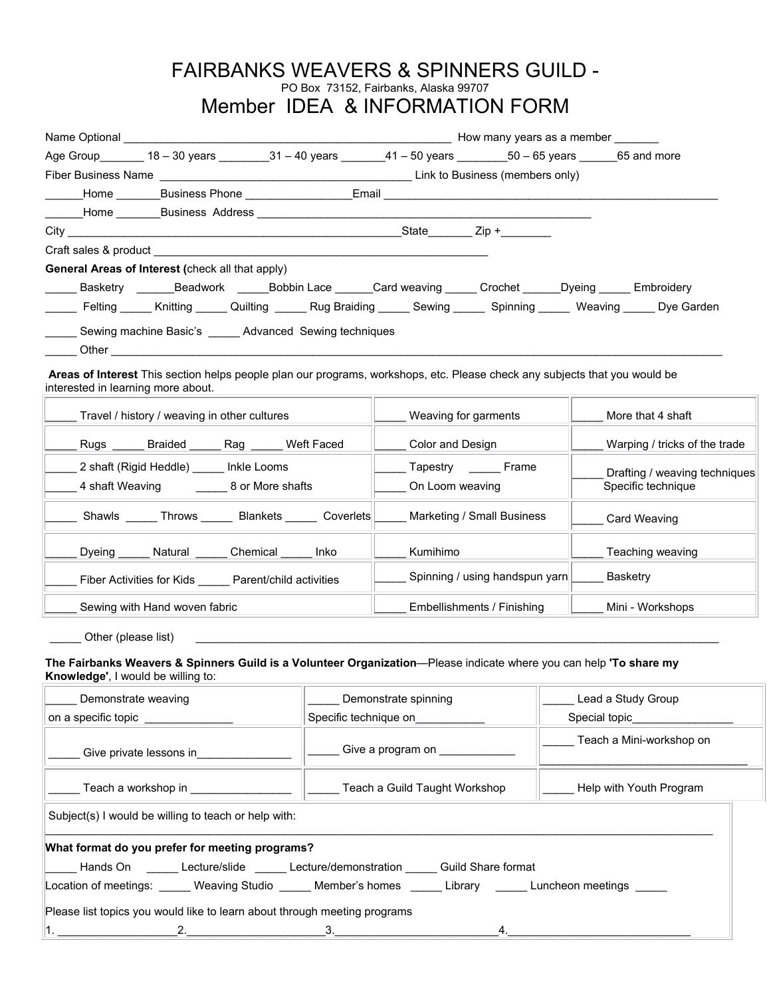## FAIRBANKS WEAVERS & SPINNERS GUILD - PO Box 73152, Fairbanks, Alaska 99707 Member IDEA & INFORMATION FORM

|                                    |                                                         |  | Age Group 18 - 30 years 31 - 40 years 41 - 50 years 50 - 65 years 65 and more                                              |                        |                                                                                                                     |
|------------------------------------|---------------------------------------------------------|--|----------------------------------------------------------------------------------------------------------------------------|------------------------|---------------------------------------------------------------------------------------------------------------------|
|                                    |                                                         |  |                                                                                                                            |                        |                                                                                                                     |
|                                    |                                                         |  |                                                                                                                            |                        |                                                                                                                     |
|                                    |                                                         |  |                                                                                                                            |                        |                                                                                                                     |
|                                    |                                                         |  |                                                                                                                            |                        |                                                                                                                     |
|                                    |                                                         |  |                                                                                                                            |                        |                                                                                                                     |
|                                    | <b>General Areas of Interest (check all that apply)</b> |  |                                                                                                                            |                        |                                                                                                                     |
|                                    |                                                         |  | ______ Basketry _______Beadwork ______Bobbin Lace _______Card weaving ______ Crochet ______Dyeing ______ Embroidery        |                        |                                                                                                                     |
|                                    |                                                         |  |                                                                                                                            |                        | Felting _____ Knitting _____ Quilting _____ Rug Braiding _____ Sewing _____ Spinning _____ Weaving _____ Dye Garden |
| interested in learning more about. | Sewing machine Basic's _____ Advanced Sewing techniques |  | Areas of Interest This section helps people plan our programs, workshops, etc. Please check any subjects that you would be |                        |                                                                                                                     |
|                                    |                                                         |  |                                                                                                                            |                        |                                                                                                                     |
|                                    | Travel / history / weaving in other cultures            |  | Weaving for garments                                                                                                       |                        | More that 4 shaft                                                                                                   |
|                                    | Rugs ______ Braided ______ Rag _____ Weft Faced         |  | Color and Design                                                                                                           |                        | Warping / tricks of the trade                                                                                       |
|                                    | 2 shaft (Rigid Heddle) _____ Inkle Looms                |  |                                                                                                                            | Tapestry _______ Frame | Drafting / weaving techniques                                                                                       |
|                                    | 4 shaft Weaving ________ 8 or More shafts               |  | On Loom weaving                                                                                                            |                        | Specific technique                                                                                                  |
|                                    |                                                         |  | __ Shawls _____ Throws ______ Blankets _____ Coverlets _____ Marketing / Small Business                                    |                        | Card Weaving                                                                                                        |

**The Fairbanks Weavers & Spinners Guild is a Volunteer Organization**—Please indicate where you can help **'To share my Knowledge'**, I would be willing to:

Other (please list)

Fiber Activities for Kids \_\_\_\_\_\_ Parent/child activities \_\_\_\_\_ Spinning / using handspun yarn \_\_\_\_\_ Basketry

Dyeing \_\_\_\_\_ Natural \_\_\_\_\_ Chemical \_\_\_\_\_ Inko \_\_\_\_ Kumihimo \_\_\_\_\_\_\_\_\_\_\_\_\_\_ |\_\_\_\_\_ Teaching weaving

Sewing with Hand woven fabric **Election Control Control Control Control** Embellishments / Finishing \_\_\_\_ Mini - Workshops

| Demonstrate weaving                                                                                                                                                                                                            | Demonstrate spinning          | Lead a Study Group       |
|--------------------------------------------------------------------------------------------------------------------------------------------------------------------------------------------------------------------------------|-------------------------------|--------------------------|
| on a specific topic contained to the set of the set of the set of the set of the set of the set of the set of the set of the set of the set of the set of the set of the set of the set of the set of the set of the set of th | Specific technique on         | Special topic            |
| Give private lessons in                                                                                                                                                                                                        | Give a program on             | Teach a Mini-workshop on |
| Teach a workshop in                                                                                                                                                                                                            | Teach a Guild Taught Workshop | Help with Youth Program  |
| Subject(s) I would be willing to teach or help with:                                                                                                                                                                           |                               |                          |
| What format do you prefer for meeting programs?                                                                                                                                                                                |                               |                          |
| Lecture/slide _______Lecture/slide ________Lecture/demonstration _______ Guild Share format                                                                                                                                    |                               |                          |
| Location of meetings: Weaving Studio Member's homes Library Luncheon meetings                                                                                                                                                  |                               |                          |
| Please list topics you would like to learn about through meeting programs                                                                                                                                                      |                               |                          |
|                                                                                                                                                                                                                                | 3.<br>4.                      |                          |